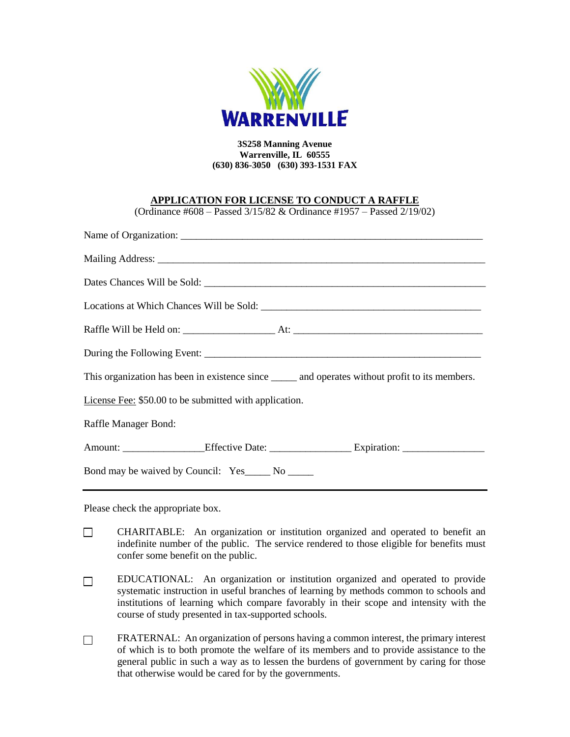

## **3S258 Manning Avenue Warrenville, IL 60555 (630) 836-3050 (630) 393-1531 FAX**

## **APPLICATION FOR LICENSE TO CONDUCT A RAFFLE**

(Ordinance #608 – Passed 3/15/82 & Ordinance #1957 – Passed 2/19/02)

| This organization has been in existence since _______ and operates without profit to its members.    |  |  |  |  |
|------------------------------------------------------------------------------------------------------|--|--|--|--|
| License Fee: \$50.00 to be submitted with application.                                               |  |  |  |  |
| Raffle Manager Bond:                                                                                 |  |  |  |  |
| Amount: _________________Effective Date: ___________________________Expiration: ____________________ |  |  |  |  |
| Bond may be waived by Council: Yes ______ No ______                                                  |  |  |  |  |

Please check the appropriate box.

- $\Box$ CHARITABLE: An organization or institution organized and operated to benefit an indefinite number of the public. The service rendered to those eligible for benefits must confer some benefit on the public.
- EDUCATIONAL: An organization or institution organized and operated to provide  $\Box$ systematic instruction in useful branches of learning by methods common to schools and institutions of learning which compare favorably in their scope and intensity with the course of study presented in tax-supported schools.
- FRATERNAL: An organization of persons having a common interest, the primary interest  $\Box$ of which is to both promote the welfare of its members and to provide assistance to the general public in such a way as to lessen the burdens of government by caring for those that otherwise would be cared for by the governments.